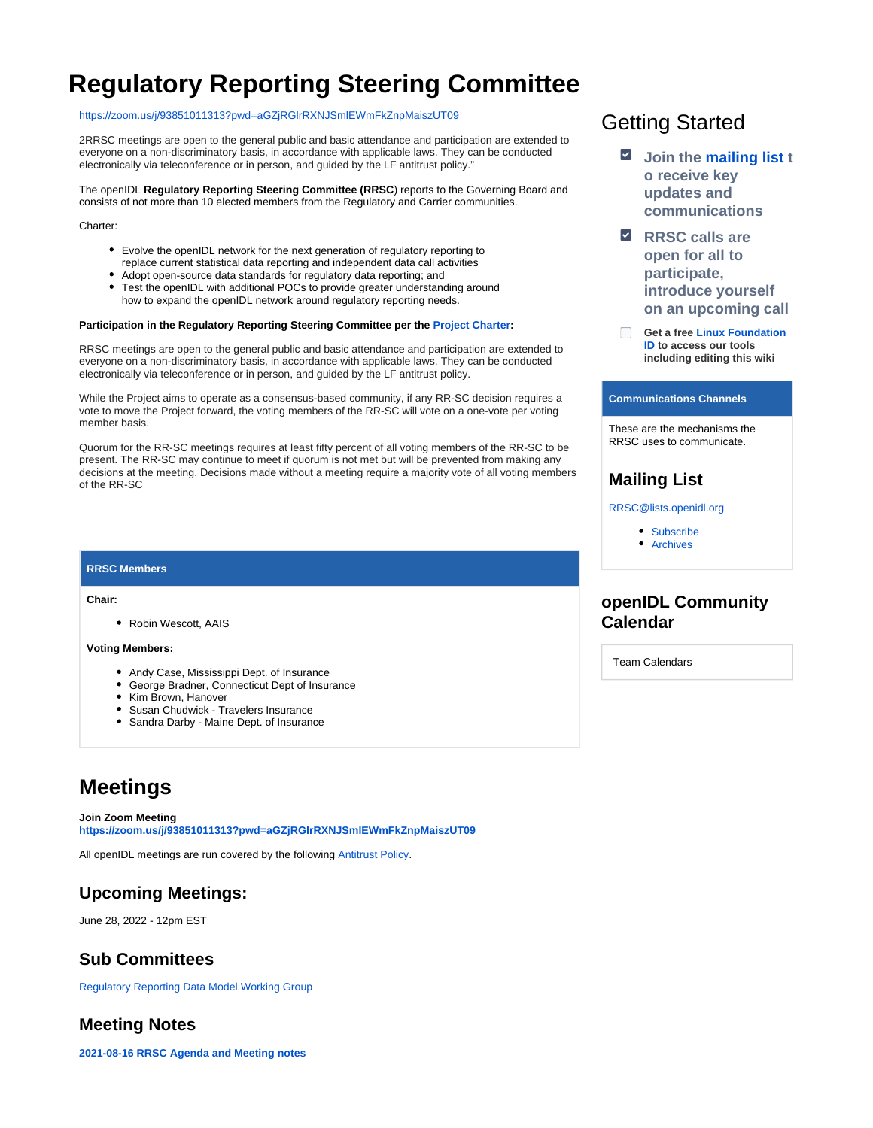# **Regulatory Reporting Steering Committee**

#### [https://zoom.us/j/93851011313?pwd=aGZjRGlrRXNJSmlEWmFkZnpMaiszUT09](https://www.google.com/url?q=https://zoom.us/j/93851011313?pwd%3DaGZjRGlrRXNJSmlEWmFkZnpMaiszUT09&sa=D&source=calendar&ust=1655739479763141&usg=AOvVaw2zWoaJ0fwqOkNwMR0m4-ZW)

2RRSC meetings are open to the general public and basic attendance and participation are extended to everyone on a non-discriminatory basis, in accordance with applicable laws. They can be conducted electronically via teleconference or in person, and guided by the LF antitrust policy."

The openIDL **Regulatory Reporting Steering Committee (RRSC**) reports to the Governing Board and consists of not more than 10 elected members from the Regulatory and Carrier communities.

Charter:

- Evolve the openIDL network for the next generation of regulatory reporting to replace current statistical data reporting and independent data call activities
- Adopt open-source data standards for regulatory data reporting; and
- Test the openIDL with additional POCs to provide greater understanding around how to expand the openIDL network around regulatory reporting needs.

#### **Participation in the Regulatory Reporting Steering Committee per the [Project Charter](https://drive.google.com/file/d/1HwUo7bB8oNDDrP772wFH25QYIbTM7lBA/view?usp=sharing):**

RRSC meetings are open to the general public and basic attendance and participation are extended to everyone on a non-discriminatory basis, in accordance with applicable laws. They can be conducted electronically via teleconference or in person, and guided by the LF antitrust policy.

While the Project aims to operate as a consensus-based community, if any RR-SC decision requires a vote to move the Project forward, the voting members of the RR-SC will vote on a one-vote per voting member basis.

Quorum for the RR-SC meetings requires at least fifty percent of all voting members of the RR-SC to be present. The RR-SC may continue to meet if quorum is not met but will be prevented from making any decisions at the meeting. Decisions made without a meeting require a majority vote of all voting members of the RR-SC

#### **RRSC Members**

**Chair:** 

Robin Wescott, AAIS

#### **Voting Members:**

- Andy Case, Mississippi Dept. of Insurance
- George Bradner, Connecticut Dept of Insurance
- Kim Brown, Hanover
- Susan Chudwick Travelers Insurance
- Sandra Darby Maine Dept. of Insurance

# **Meetings**

**Join Zoom Meeting [https://zoom.us/j/93851011313?pwd=aGZjRGlrRXNJSmlEWmFkZnpMaiszUT09](https://www.google.com/url?q=https://zoom.us/j/93851011313?pwd%3DaGZjRGlrRXNJSmlEWmFkZnpMaiszUT09&sa=D&source=calendar&usd=2&usg=AOvVaw3jqjSDQhhFU6jckKMxYXfv)**

All openIDL meetings are run covered by the following [Antitrust Policy.](https://docs.google.com/presentation/d/1KGMALektapBdfUPcPR0jBhoKrzmToNE28n-Xs-1zMY0/edit?usp=sharing)

### **Upcoming Meetings:**

June 28, 2022 - 12pm EST

### **Sub Committees**

[Regulatory Reporting Data Model Working Group](https://wiki.openidl.org/display/HOME/Regulatory+Reporting+Data+Model+Working+Group)

### **Meeting Notes**

**[2021-08-16 RRSC Agenda and Meeting notes](https://wiki.openidl.org/display/HOME/2021-08-16+RRSC+Agenda+and+Meeting+notes)**

# Getting Started

- **Join the [mailing list](https://lists.openidl.org/g/RRSC) t o receive key updates and communications**
- **E** RRSC calls are **open for all to participate, introduce yourself on an upcoming call**
- **Get a free [Linux Foundation](https://identity.linuxfoundation.org/)**   $\Box$ **[ID](https://identity.linuxfoundation.org/) to access our tools including editing this wiki**

#### **Communications Channels**

These are the mechanisms the RRSC uses to communicate.

### **Mailing List**

[RRSC@lists.openidl.org](mailto:RRSC@lists.openidl.org)

- [Subscribe](https://lists.openidl.org/g/RRSC)
- [Archives](https://lists.openidl.org/g/RRSC/topics)

### **openIDL Community Calendar**

Team Calendars